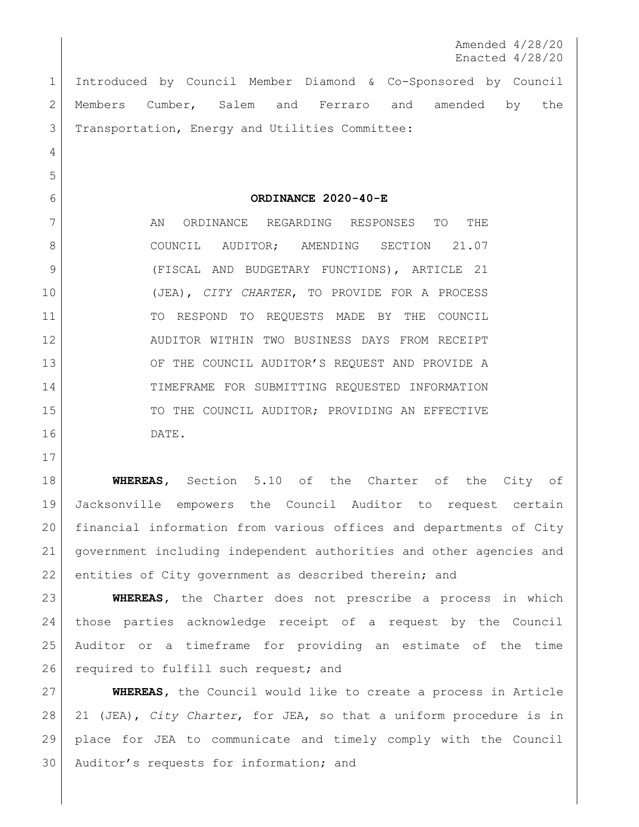Amended 4/28/20 Enacted 4/28/20

 Introduced by Council Member Diamond & Co-Sponsored by Council Members Cumber, Salem and Ferraro and amended by the 3 | Transportation, Energy and Utilities Committee:

**ORDINANCE 2020-40-E**

7 AN ORDINANCE REGARDING RESPONSES TO THE 8 COUNCIL AUDITOR; AMENDING SECTION 21.07 9 (FISCAL AND BUDGETARY FUNCTIONS), ARTICLE 21 (JEA), *CITY CHARTER*, TO PROVIDE FOR A PROCESS TO RESPOND TO REQUESTS MADE BY THE COUNCIL AUDITOR WITHIN TWO BUSINESS DAYS FROM RECEIPT 13 OF THE COUNCIL AUDITOR'S REQUEST AND PROVIDE A TIMEFRAME FOR SUBMITTING REQUESTED INFORMATION 15 TO THE COUNCIL AUDITOR; PROVIDING AN EFFECTIVE DATE.

**WHEREAS,** Section 5.10 of the Charter of the City of Jacksonville empowers the Council Auditor to request certain financial information from various offices and departments of City government including independent authorities and other agencies and 22 entities of City government as described therein; and

 **WHEREAS,** the Charter does not prescribe a process in which those parties acknowledge receipt of a request by the Council Auditor or a timeframe for providing an estimate of the time 26 required to fulfill such request; and

 **WHEREAS,** the Council would like to create a process in Article 21 (JEA), *City Charter*, for JEA, so that a uniform procedure is in place for JEA to communicate and timely comply with the Council Auditor's requests for information; and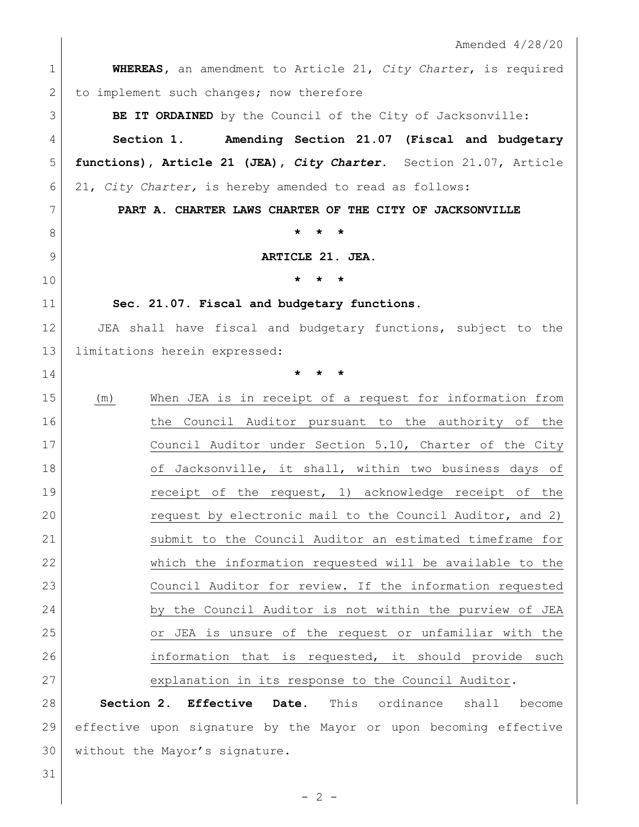|              | Amended $4/28/20$                                                      |
|--------------|------------------------------------------------------------------------|
| $\mathbf 1$  | <b>WHEREAS</b> , an amendment to Article 21, City Charter, is required |
| $\mathbf{2}$ | to implement such changes; now therefore                               |
| 3            | BE IT ORDAINED by the Council of the City of Jacksonville:             |
| 4            | Amending Section 21.07 (Fiscal and budgetary<br>Section 1.             |
| 5            | functions), Article 21 (JEA), City Charter. Section 21.07, Article     |
| 6            | 21, City Charter, is hereby amended to read as follows:                |
| 7            | PART A. CHARTER LAWS CHARTER OF THE CITY OF JACKSONVILLE               |
| 8            | $\star$<br>*                                                           |
| 9            | ARTICLE 21. JEA.                                                       |
| 10           | $\star$<br>$\star$<br>$\star$                                          |
| 11           | Sec. 21.07. Fiscal and budgetary functions.                            |
| 12           | JEA shall have fiscal and budgetary functions, subject to the          |
| 13           | limitations herein expressed:                                          |
| 14           | $\star$<br>$\star$<br>$\star$                                          |
| 15           | When JEA is in receipt of a request for information from<br>(m)        |
| 16           | the Council Auditor pursuant to the authority of the                   |
| 17           | Council Auditor under Section 5.10, Charter of the City                |
| 18           | of Jacksonville, it shall, within two business days of                 |
| 19           | receipt of the request, 1) acknowledge receipt of the                  |
| 20           | request by electronic mail to the Council Auditor, and 2)              |
| 21           | submit to the Council Auditor an estimated timeframe for               |
| 22           | which the information requested will be available to the               |
| 23           | Council Auditor for review. If the information requested               |
| 24           | by the Council Auditor is not within the purview of JEA                |
| 25           | or JEA is unsure of the request or unfamiliar with the                 |
| 26           | information that is requested, it should provide such                  |
| 27           | explanation in its response to the Council Auditor.                    |
| 28           | Section 2. Effective<br>Date.<br>This<br>ordinance<br>shall<br>become  |
| 29           | effective upon signature by the Mayor or upon becoming effective       |
| 30           | without the Mayor's signature.                                         |